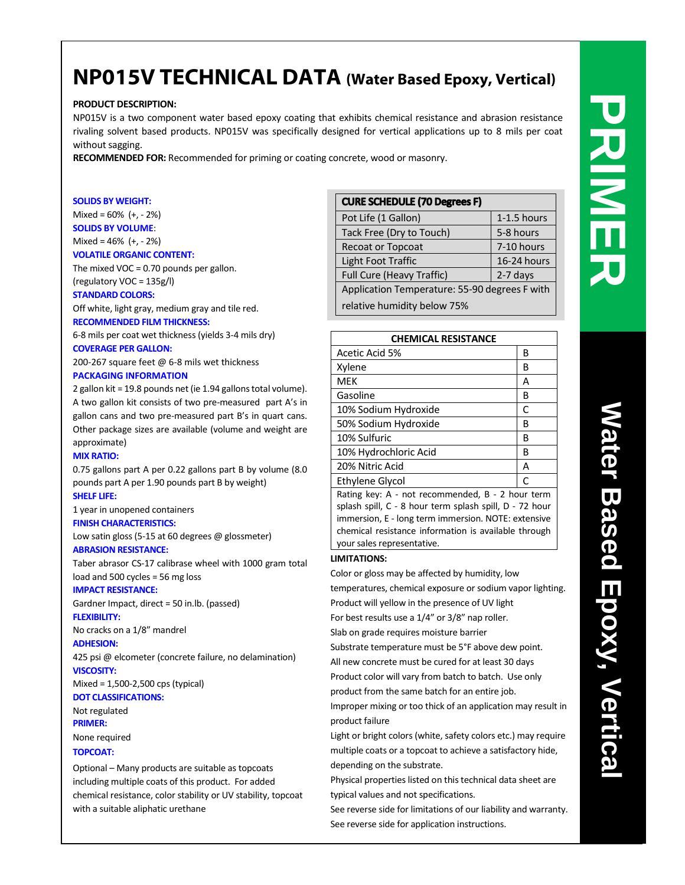# **NP015 V TECHNICAL DATA (Water Based Epoxy, Vertical)**

# **PRODUCT DESCRIPTION:**

NP015V is a two component water based epoxy coating that exhibits chemical resistance and abrasion resistance rivaling solvent based products. NP015V was specifically designed for vertical applications up to 8 mils per coat without sagging.

**RECOMMENDED FOR:** Recommended for priming or coating concrete, wood or masonry.

### **SOLIDS BY WEIGHT:**

Mixed =  $60\%$  (+, - 2%) **SOLIDS BY VOLUME**:

# Mixed =  $46\%$  (+, - 2%)

# **VOLATILE ORGANIC CONTENT:**

The mixed VOC =  $0.70$  pounds per gallon.

(regulatory VOC = 135g/l)

# **STANDARD COLORS:**

Off white, light gray, medium gray and tile red. **RECOMMENDED FILM THICKNESS:**

6-8 mils per coat wet thickness (yields 3-4 mils dry) **COVERAGE PER GALLON:**

200-267 square feet @ 6-8 mils wet thickness

# **PACKAGING INFORMATION**

2 gallon kit = 19.8 pounds net (ie 1.94 gallons total volume). A two gallon kit consists of two pre-measured part A's in gallon cans and two pre-measured part B's in quart cans. Other package sizes are available (volume and weight are approximate)

# **MIX RATIO:**

0.75 gallons part A per 0.22 gallons part B by volume (8.0 pounds part A per 1.90 pounds part B by weight) **SHELF LIFE:**

# 1 year in unopened containers

# **FINISH CHARACTERISTICS:**

Low satin gloss (5-15 at 60 degrees @ glossmeter) **ABRASION RESISTANCE:**

Taber abrasor CS-17 calibrase wheel with 1000 gram total load and 500 cycles = 56 mg loss

# **IMPACT RESISTANCE:**

Gardner Impact, direct = 50 in.lb. (passed) **FLEXIBILITY:**

No cracks on a 1/8" mandrel

# **ADHESION:**

425 psi @ elcometer (concrete failure, no delamination) **VISCOSITY:**

Mixed = 1,500-2,500 cps (typical)

**DOT CLASSIFICATIONS:** Not regulated

# **PRIMER:**

None required

# **TOPCOAT:**

Optional – Many products are suitable as topcoats including multiple coats of this product. For added chemical resistance, color stability or UV stability, topcoat with a suitable aliphatic urethane

| <b>CURE SCHEDULE (70 Degrees F)</b>           |             |  |
|-----------------------------------------------|-------------|--|
| Pot Life (1 Gallon)                           | 1-1.5 hours |  |
| Tack Free (Dry to Touch)                      | 5-8 hours   |  |
| <b>Recoat or Topcoat</b>                      | 7-10 hours  |  |
| Light Foot Traffic                            | 16-24 hours |  |
| Full Cure (Heavy Traffic)                     | 2-7 days    |  |
| Application Temperature: 55-90 degrees F with |             |  |
| relative humidity below 75%                   |             |  |

| <b>CHEMICAL RESISTANCE</b> |   |
|----------------------------|---|
| Acetic Acid 5%             | В |
| Xylene                     | В |
| <b>MEK</b>                 | А |
| Gasoline                   | В |
| 10% Sodium Hydroxide       | C |
| 50% Sodium Hydroxide       | В |
| 10% Sulfuric               | B |
| 10% Hydrochloric Acid      | B |
| 20% Nitric Acid            | А |
| Ethylene Glycol            |   |

Rating key: A - not recommended, B - 2 hour term splash spill, C - 8 hour term splash spill, D - 72 hour immersion, E - long term immersion. NOTE: extensive chemical resistance information is available through your sales representative.

# **LIMITATIONS:**

Color or gloss may be affected by humidity, low

temperatures, chemical exposure or sodium vapor lighting. Product will yellow in the presence of UV light

For best results use a 1/4" or 3/8" nap roller.

Slab on grade requires moisture barrier

Substrate temperature must be 5°F above dew point.

All new concrete must be cured for at least 30 days Product color will vary from batch to batch. Use only

product from the same batch for an entire job.

Improper mixing or too thick of an application may result in product failure

Light or bright colors (white, safety colors etc.) may require multiple coats or a topcoat to achieve a satisfactory hide, depending on the substrate.

Physical properties listed on this technical data sheet are typical values and not specifications.

See reverse side for limitations of our liability and warranty. See reverse side for application instructions.